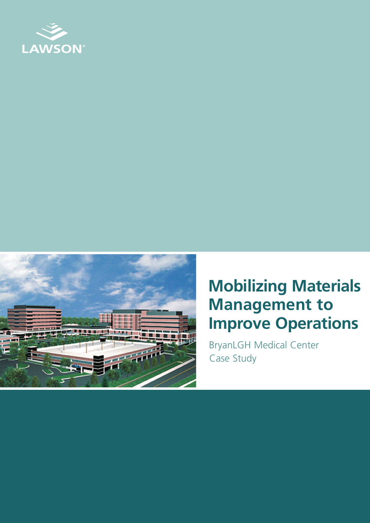



## **Mobilizing Materials Management to Improve Operations**

BryanLGH Medical Center Case Study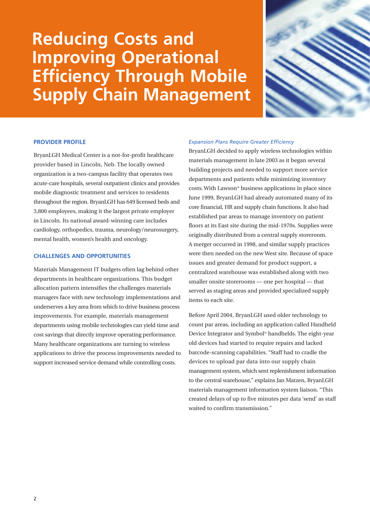## **Reducing Costs and Improving Operational Efficiency Through Mobile Supply Chain Management**



#### **PROVIDER PROFILE**

BryanLGH Medical Center is a not-for-profit healthcare provider based in Lincoln, Neb. The locally owned organization is a two-campus facility that operates two acute-care hospitals, several outpatient clinics and provides mobile diagnostic treatment and services to residents throughout the region. BryanLGH has 649 licensed beds and 3,800 employees, making it the largest private employer in Lincoln. Its national award-winning care includes cardiology, orthopedics, trauma, neurology/neurosurgery, mental health, women's health and oncology.

#### **CHALLENGES AND OPPORTUNITIES**

Materials Management IT budgets often lag behind other departments in healthcare organizations. This budget allocation pattern intensifies the challenges materials managers face with new technology implementations and underserves a key area from which to drive business process improvements. For example, materials management departments using mobile technologies can yield time and cost savings that directly improve operating performance. Many healthcare organizations are turning to wireless applications to drive the process improvements needed to support increased service demand while controlling costs.

#### *Expansion Plans Require Greater Efficiency*

BryanLGH decided to apply wireless technologies within materials management in late 2003 as it began several building projects and needed to support more service departments and patients while minimizing inventory costs. With Lawson® business applications in place since June 1999, BryanLGH had already automated many of its core financial, HR and supply chain functions. It also had established par areas to manage inventory on patient floors at its East site during the mid-1970s. Supplies were originally distributed from a central supply storeroom. A merger occurred in 1998, and similar supply practices were then needed on the new West site. Because of space issues and greater demand for product support, a centralized warehouse was established along with two smaller onsite storerooms — one per hospital — that served as staging areas and provided specialized supply items to each site.

Before April 2004, BryanLGH used older technology to count par areas, including an application called Handheld Device Integrator and Symbol® handhelds. The eight-year old devices had started to require repairs and lacked barcode-scanning capabilities. "Staff had to cradle the devices to upload par data into our supply chain management system, which sent replenishment information to the central warehouse," explains Jan Matzen, BryanLGH materials management information system liaison. "This created delays of up to five minutes per data 'send' as staff waited to confirm transmission."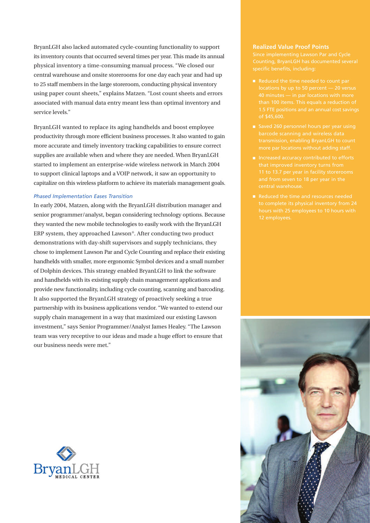BryanLGH also lacked automated cycle-counting functionality to support its inventory counts that occurred several times per year. This made its annual physical inventory a time-consuming manual process. "We closed our central warehouse and onsite storerooms for one day each year and had up to 25 staff members in the large storeroom, conducting physical inventory using paper count sheets," explains Matzen. "Lost count sheets and errors associated with manual data entry meant less than optimal inventory and service levels."

BryanLGH wanted to replace its aging handhelds and boost employee productivity through more efficient business processes. It also wanted to gain more accurate and timely inventory tracking capabilities to ensure correct supplies are available when and where they are needed. When BryanLGH started to implement an enterprise-wide wireless network in March 2004 to support clinical laptops and a VOIP network, it saw an opportunity to capitalize on this wireless platform to achieve its materials management goals.

#### *Phased Implementation Eases Transition*

In early 2004, Matzen, along with the BryanLGH distribution manager and senior programmer/analyst, began considering technology options. Because they wanted the new mobile technologies to easily work with the BryanLGH ERP system, they approached Lawson®. After conducting two product demonstrations with day-shift supervisors and supply technicians, they chose to implement Lawson Par and Cycle Counting and replace their existing handhelds with smaller, more ergonomic Symbol devices and a small number of Dolphin devices. This strategy enabled BryanLGH to link the software and handhelds with its existing supply chain management applications and provide new functionality, including cycle counting, scanning and barcoding. It also supported the BryanLGH strategy of proactively seeking a true partnership with its business applications vendor. "We wanted to extend our supply chain management in a way that maximized our existing Lawson investment," says Senior Programmer/Analyst James Healey. "The Lawson team was very receptive to our ideas and made a huge effort to ensure that our business needs were met."

# MEDICAL CENTER

#### **Realized Value Proof Points**

- 
- 
- 
- hours with 25 employees to 10 hours with

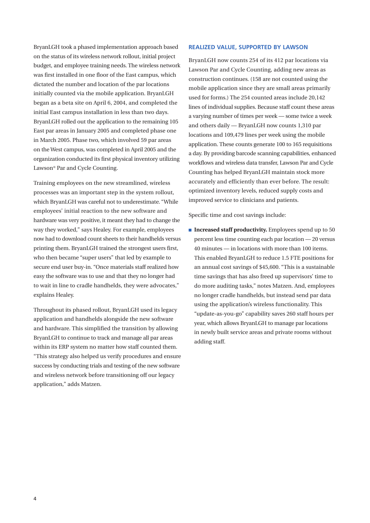BryanLGH took a phased implementation approach based on the status of its wireless network rollout, initial project budget, and employee training needs. The wireless network was first installed in one floor of the East campus, which dictated the number and location of the par locations initially counted via the mobile application. BryanLGH began as a beta site on April 6, 2004, and completed the initial East campus installation in less than two days. BryanLGH rolled out the application to the remaining 105 East par areas in January 2005 and completed phase one in March 2005. Phase two, which involved 59 par areas on the West campus, was completed in April 2005 and the organization conducted its first physical inventory utilizing Lawson® Par and Cycle Counting.

Training employees on the new streamlined, wireless processes was an important step in the system rollout, which BryanLGH was careful not to underestimate. "While employees' initial reaction to the new software and hardware was very positive, it meant they had to change the way they worked," says Healey. For example, employees now had to download count sheets to their handhelds versus printing them. BryanLGH trained the strongest users first, who then became "super users" that led by example to secure end user buy-in. "Once materials staff realized how easy the software was to use and that they no longer had to wait in line to cradle handhelds, they were advocates," explains Healey.

Throughout its phased rollout, BryanLGH used its legacy application and handhelds alongside the new software and hardware. This simplified the transition by allowing BryanLGH to continue to track and manage all par areas within its ERP system no matter how staff counted them. "This strategy also helped us verify procedures and ensure success by conducting trials and testing of the new software and wireless network before transitioning off our legacy application," adds Matzen.

#### **REALIZED VALUE, SUPPORTED BY LAWSON**

BryanLGH now counts 254 of its 412 par locations via Lawson Par and Cycle Counting, adding new areas as construction continues. (158 are not counted using the mobile application since they are small areas primarily used for forms.) The 254 counted areas include 20,142 lines of individual supplies. Because staff count these areas a varying number of times per week — some twice a week and others daily — BryanLGH now counts 1,310 par locations and 109,479 lines per week using the mobile application. These counts generate 100 to 165 requisitions a day. By providing barcode scanning capabilities, enhanced workflows and wireless data transfer, Lawson Par and Cycle Counting has helped BryanLGH maintain stock more accurately and efficiently than ever before. The result: optimized inventory levels, reduced supply costs and improved service to clinicians and patients.

Specific time and cost savings include:

**Increased staff productivity.** Employees spend up to 50 percent less time counting each par location — 20 versus 40 minutes — in locations with more than 100 items. This enabled BryanLGH to reduce 1.5 FTE positions for an annual cost savings of \$45,600. "This is a sustainable time savings that has also freed up supervisors' time to do more auditing tasks," notes Matzen. And, employees no longer cradle handhelds, but instead send par data using the application's wireless functionality. This "update-as-you-go" capability saves 260 staff hours per year, which allows BryanLGH to manage par locations in newly built service areas and private rooms without adding staff.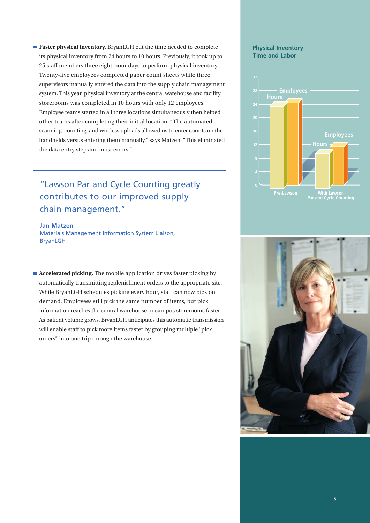■ **Faster physical inventory.** BryanLGH cut the time needed to complete its physical inventory from 24 hours to 10 hours. Previously, it took up to 25 staff members three eight-hour days to perform physical inventory. Twenty-five employees completed paper count sheets while three supervisors manually entered the data into the supply chain management system. This year, physical inventory at the central warehouse and facility storerooms was completed in 10 hours with only 12 employees. Employee teams started in all three locations simultaneously then helped other teams after completing their initial location. "The automated scanning, counting, and wireless uploads allowed us to enter counts on the handhelds versus entering them manually," says Matzen. "This eliminated the data entry step and most errors."

"Lawson Par and Cycle Counting greatly contributes to our improved supply chain management."

**Jan Matzen** Materials Management Information System Liaison, BryanLGH

■ **Accelerated picking.** The mobile application drives faster picking by automatically transmitting replenishment orders to the appropriate site. While BryanLGH schedules picking every hour, staff can now pick on demand. Employees still pick the same number of items, but pick information reaches the central warehouse or campus storerooms faster. As patient volume grows, BryanLGH anticipates this automatic transmission will enable staff to pick more items faster by grouping multiple "pick orders" into one trip through the warehouse.

#### **Physical Inventory Time and Labor**



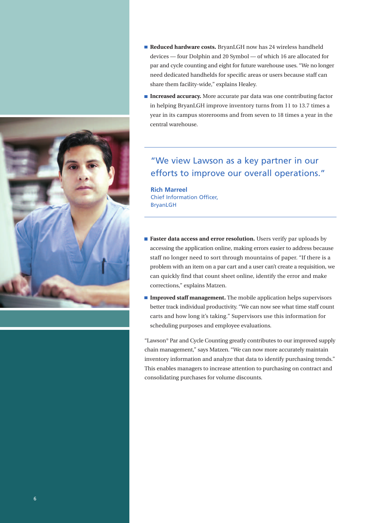

- **Reduced hardware costs.** BryanLGH now has 24 wireless handheld devices — four Dolphin and 20 Symbol — of which 16 are allocated for par and cycle counting and eight for future warehouse uses. "We no longer need dedicated handhelds for specific areas or users because staff can share them facility-wide," explains Healey.
- Increased accuracy. More accurate par data was one contributing factor in helping BryanLGH improve inventory turns from 11 to 13.7 times a year in its campus storerooms and from seven to 18 times a year in the central warehouse.

### "We view Lawson as a key partner in our efforts to improve our overall operations."

**Rich Marreel** Chief Information Officer, BryanLGH

- **Faster data access and error resolution.** Users verify par uploads by accessing the application online, making errors easier to address because staff no longer need to sort through mountains of paper. "If there is a problem with an item on a par cart and a user can't create a requisition, we can quickly find that count sheet online, identify the error and make corrections," explains Matzen.
- **Improved staff management.** The mobile application helps supervisors better track individual productivity. "We can now see what time staff count carts and how long it's taking." Supervisors use this information for scheduling purposes and employee evaluations.

"Lawson® Par and Cycle Counting greatly contributes to our improved supply chain management," says Matzen. "We can now more accurately maintain inventory information and analyze that data to identify purchasing trends." This enables managers to increase attention to purchasing on contract and consolidating purchases for volume discounts.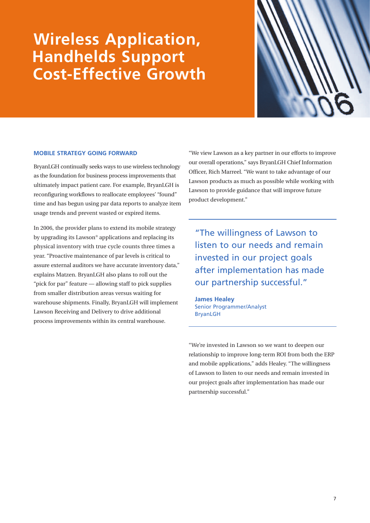## **Wireless Application, Handhelds Support Cost-Effective Growth**



#### **MOBILE STRATEGY GOING FORWARD**

BryanLGH continually seeks ways to use wireless technology as the foundation for business process improvements that ultimately impact patient care. For example, BryanLGH is reconfiguring workflows to reallocate employees' "found" time and has begun using par data reports to analyze item usage trends and prevent wasted or expired items.

In 2006, the provider plans to extend its mobile strategy by upgrading its Lawson® applications and replacing its physical inventory with true cycle counts three times a year. "Proactive maintenance of par levels is critical to assure external auditors we have accurate inventory data," explains Matzen. BryanLGH also plans to roll out the "pick for par" feature — allowing staff to pick supplies from smaller distribution areas versus waiting for warehouse shipments. Finally, BryanLGH will implement Lawson Receiving and Delivery to drive additional process improvements within its central warehouse.

"We view Lawson as a key partner in our efforts to improve our overall operations," says BryanLGH Chief Information Officer, Rich Marreel. "We want to take advantage of our Lawson products as much as possible while working with Lawson to provide guidance that will improve future product development."

"The willingness of Lawson to listen to our needs and remain invested in our project goals after implementation has made our partnership successful."

**James Healey** Senior Programmer/Analyst BryanLGH

"We're invested in Lawson so we want to deepen our relationship to improve long-term ROI from both the ERP and mobile applications," adds Healey. "The willingness of Lawson to listen to our needs and remain invested in our project goals after implementation has made our partnership successful."